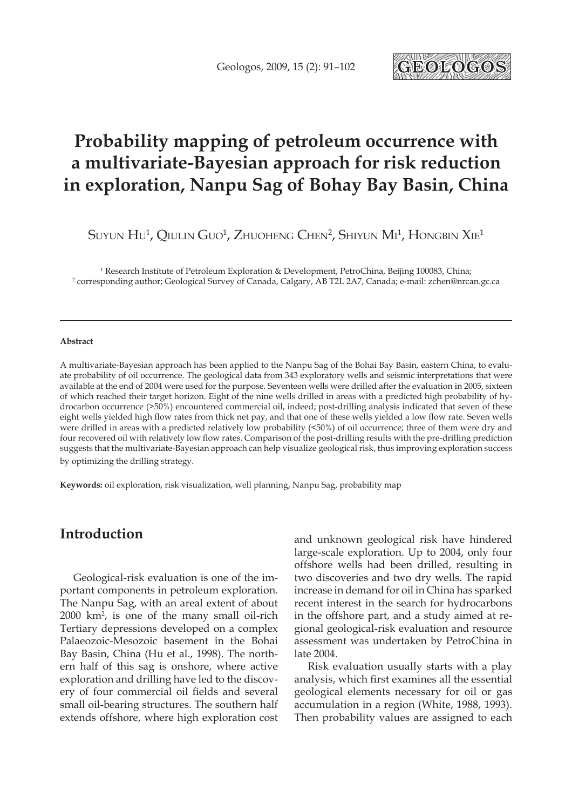

# **Probability mapping of petroleum occurrence with a multivariate-Bayesian approach for risk reduction in exploration, Nanpu Sag of Bohay Bay Basin, China**

Suyun  $\rm{H\textsc{u}}^{1}$ , Qiulin Guo $^{1}$ , Zhuoheng Chen $^{2}$ , Shiyun  $\rm{M\textsc{1}}^{1}$ , Hongbin Xie $^{1}$ 

1 Research Institute of Petroleum Exploration & Development, PetroChina, Beijing 100083, China; 2 corresponding author; Geological Survey of Canada, Calgary, AB T2L 2A7, Canada; e-mail: zchen@nrcan.gc.ca

#### **Abstract**

A multivariate-Bayesian approach has been applied to the Nanpu Sag of the Bohai Bay Basin, eastern China, to evaluate probability of oil occurrence. The geological data from 343 exploratory wells and seismic interpretations that were available at the end of 2004 were used for the purpose. Seventeen wells were drilled after the evaluation in 2005, sixteen of which reached their target horizon. Eight of the nine wells drilled in areas with a predicted high probability of hydrocarbon occurrence (>50%) encountered commercial oil, indeed; post-drilling analysis indicated that seven of these eight wells yielded high flow rates from thick net pay, and that one of these wells yielded a low flow rate. Seven wells were drilled in areas with a predicted relatively low probability (<50%) of oil occurrence; three of them were dry and four recovered oil with relatively low flow rates. Comparison of the post-drilling results with the pre-drilling prediction suggests that the multivariate-Bayesian approach can help visualize geological risk, thus improving exploration success by optimizing the drilling strategy.

**Keywords:** oil exploration, risk visualization, well planning, Nanpu Sag, probability map

## **Introduction**

Geological-risk evaluation is one of the important components in petroleum exploration. The Nanpu Sag, with an areal extent of about 2000 km2 , is one of the many small oil-rich Tertiary depressions developed on a complex Palaeozoic-Mesozoic basement in the Bohai Bay Basin, China (Hu et al., 1998). The northern half of this sag is onshore, where active exploration and drilling have led to the discovery of four commercial oil fields and several small oil-bearing structures. The southern half extends offshore, where high exploration cost

and unknown geological risk have hindered large-scale exploration. Up to 2004, only four offshore wells had been drilled, resulting in two discoveries and two dry wells. The rapid increase in demand for oil in China has sparked recent interest in the search for hydrocarbons in the offshore part, and a study aimed at regional geological-risk evaluation and resource assessment was undertaken by PetroChina in late 2004.

Risk evaluation usually starts with a play analysis, which first examines all the essential geological elements necessary for oil or gas accumulation in a region (White, 1988, 1993). Then probability values are assigned to each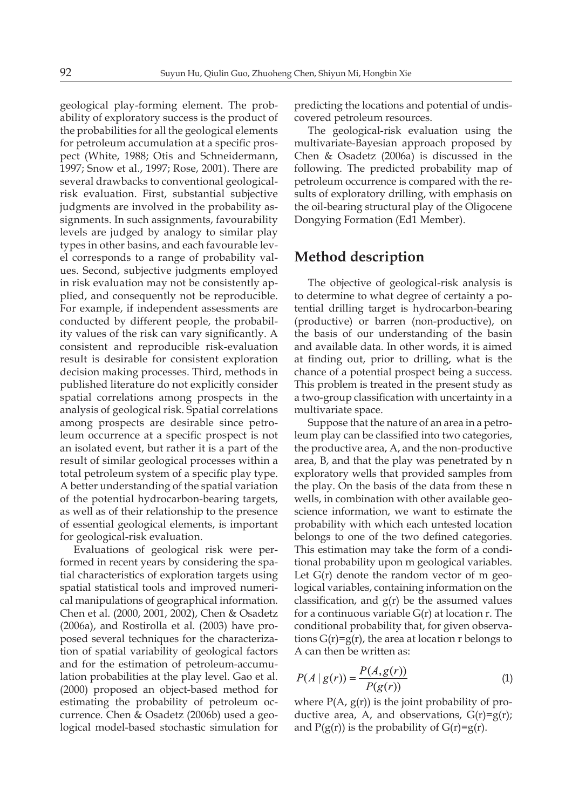geological play-forming element. The probability of exploratory success is the product of the probabilities for all the geological elements for petroleum accumulation at a specific prospect (White, 1988; Otis and Schneidermann, 1997; Snow et al., 1997; Rose, 2001). There are several drawbacks to conventional geologicalrisk evaluation. First, substantial subjective judgments are involved in the probability assignments. In such assignments, favourability levels are judged by analogy to similar play types in other basins, and each favourable level corresponds to a range of probability values. Second, subjective judgments employed in risk evaluation may not be consistently applied, and consequently not be reproducible. For example, if independent assessments are conducted by different people, the probability values of the risk can vary significantly. A consistent and reproducible risk-evaluation result is desirable for consistent exploration decision making processes. Third, methods in published literature do not explicitly consider spatial correlations among prospects in the analysis of geological risk. Spatial correlations among prospects are desirable since petroleum occurrence at a specific prospect is not an isolated event, but rather it is a part of the result of similar geological processes within a total petroleum system of a specific play type. A better understanding of the spatial variation of the potential hydrocarbon-bearing targets, as well as of their relationship to the presence of essential geological elements, is important for geological-risk evaluation.

Evaluations of geological risk were performed in recent years by considering the spatial characteristics of exploration targets using spatial statistical tools and improved numerical manipulations of geographical information. Chen et al. (2000, 2001, 2002), Chen & Osadetz (2006a), and Rostirolla et al. (2003) have proposed several techniques for the characterization of spatial variability of geological factors and for the estimation of petroleum-accumulation probabilities at the play level. Gao et al. (2000) proposed an object-based method for estimating the probability of petroleum occurrence. Chen & Osadetz (2006b) used a geological model-based stochastic simulation for

predicting the locations and potential of undiscovered petroleum resources.

The geological-risk evaluation using the multivariate-Bayesian approach proposed by Chen & Osadetz (2006a) is discussed in the following. The predicted probability map of petroleum occurrence is compared with the results of exploratory drilling, with emphasis on the oil-bearing structural play of the Oligocene Dongying Formation (Ed1 Member).

#### **Method description**

The objective of geological-risk analysis is to determine to what degree of certainty a potential drilling target is hydrocarbon-bearing (productive) or barren (non-productive), on the basis of our understanding of the basin and available data. In other words, it is aimed at finding out, prior to drilling, what is the chance of a potential prospect being a success. This problem is treated in the present study as a two-group classification with uncertainty in a multivariate space.

Suppose that the nature of an area in a petroleum play can be classified into two categories, the productive area, A, and the non-productive area, B, and that the play was penetrated by n exploratory wells that provided samples from the play. On the basis of the data from these n wells, in combination with other available geoscience information, we want to estimate the probability with which each untested location belongs to one of the two defined categories. This estimation may take the form of a conditional probability upon m geological variables. Let  $G(r)$  denote the random vector of m geological variables, containing information on the classification, and  $g(r)$  be the assumed values for a continuous variable  $G(r)$  at location r. The conditional probability that, for given observations  $G(r)=g(r)$ , the area at location r belongs to A can then be written as:

$$
P(A \mid g(r)) = \frac{P(A, g(r))}{P(g(r))}
$$
 (1)

where  $P(A, g(r))$  is the joint probability of productive area, A, and observations,  $G(r)=g(r)$ ; and  $P(g(r))$  is the probability of  $G(r)=g(r)$ .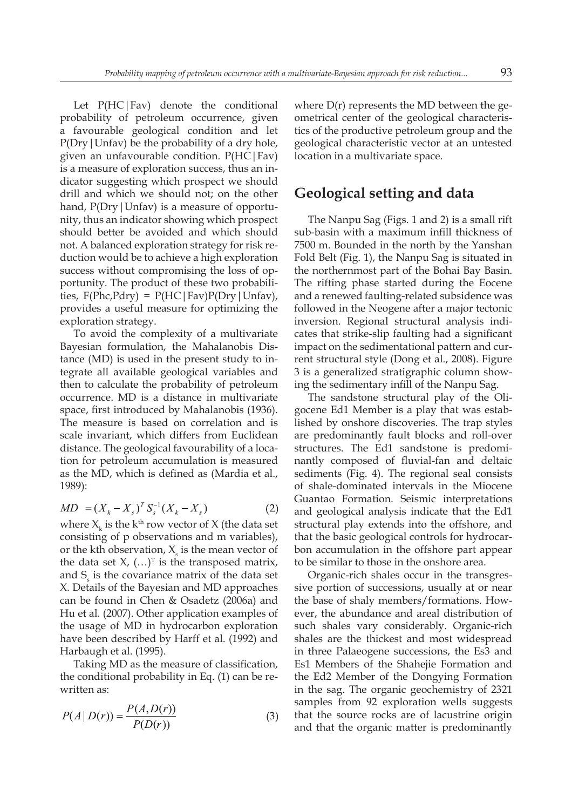Let P(HC|Fav) denote the conditional probability of petroleum occurrence, given a favourable geological condition and let P(Dry|Unfav) be the probability of a dry hole, given an unfavourable condition. P(HC|Fav) is a measure of exploration success, thus an indicator suggesting which prospect we should drill and which we should not; on the other hand, P(Dry | Unfav) is a measure of opportunity, thus an indicator showing which prospect should better be avoided and which should not. A balanced exploration strategy for risk reduction would be to achieve a high exploration success without compromising the loss of opportunity. The product of these two probabilities,  $F(Phc, Pdry) = P(HC | Fav)P(Dry | Unfav)$ , provides a useful measure for optimizing the exploration strategy.

To avoid the complexity of a multivariate Bayesian formulation, the Mahalanobis Distance (MD) is used in the present study to integrate all available geological variables and then to calculate the probability of petroleum occurrence. MD is a distance in multivariate space, first introduced by Mahalanobis (1936). The measure is based on correlation and is scale invariant, which differs from Euclidean distance. The geological favourability of a location for petroleum accumulation is measured as the MD, which is defined as (Mardia et al., 1989):

$$
MD = (X_k - X_s)^T S_s^{-1} (X_k - X_s)
$$
 (2)

where  $X_{k}$  is the  $k^{\text{th}}$  row vector of X (the data set consisting of p observations and m variables), or the kth observation,  $X_{\rm s}$  is the mean vector of the data set  $X$ ,  $(...)^{T}$  is the transposed matrix, and  $S_{\rm s}$  is the covariance matrix of the data set X. Details of the Bayesian and MD approaches can be found in Chen & Osadetz (2006a) and Hu et al. (2007). Other application examples of the usage of MD in hydrocarbon exploration have been described by Harff et al. (1992) and Harbaugh et al. (1995).

Taking MD as the measure of classification, the conditional probability in Eq. (1) can be rewritten as:

$$
P(A | D(r)) = \frac{P(A, D(r))}{P(D(r))}
$$
\n(3)

where  $D(r)$  represents the MD between the geometrical center of the geological characteristics of the productive petroleum group and the geological characteristic vector at an untested location in a multivariate space.

#### **Geological setting and data**

The Nanpu Sag (Figs. 1 and 2) is a small rift sub-basin with a maximum infill thickness of 7500 m. Bounded in the north by the Yanshan Fold Belt (Fig. 1), the Nanpu Sag is situated in the northernmost part of the Bohai Bay Basin. The rifting phase started during the Eocene and a renewed faulting-related subsidence was followed in the Neogene after a major tectonic inversion. Regional structural analysis indicates that strike-slip faulting had a significant impact on the sedimentational pattern and current structural style (Dong et al., 2008). Figure 3 is a generalized stratigraphic column showing the sedimentary infill of the Nanpu Sag.

The sandstone structural play of the Oligocene Ed1 Member is a play that was established by onshore discoveries. The trap styles are predominantly fault blocks and roll-over structures. The Ed1 sandstone is predominantly composed of fluvial-fan and deltaic sediments (Fig. 4). The regional seal consists of shale-dominated intervals in the Miocene Guantao Formation. Seismic interpretations and geological analysis indicate that the Ed1 structural play extends into the offshore, and that the basic geological controls for hydrocarbon accumulation in the offshore part appear to be similar to those in the onshore area.

Organic-rich shales occur in the transgressive portion of successions, usually at or near the base of shaly members/formations. However, the abundance and areal distribution of such shales vary considerably. Organic-rich shales are the thickest and most widespread in three Palaeogene successions, the Es3 and Es1 Members of the Shahejie Formation and the Ed2 Member of the Dongying Formation in the sag. The organic geochemistry of 2321 samples from 92 exploration wells suggests that the source rocks are of lacustrine origin and that the organic matter is predominantly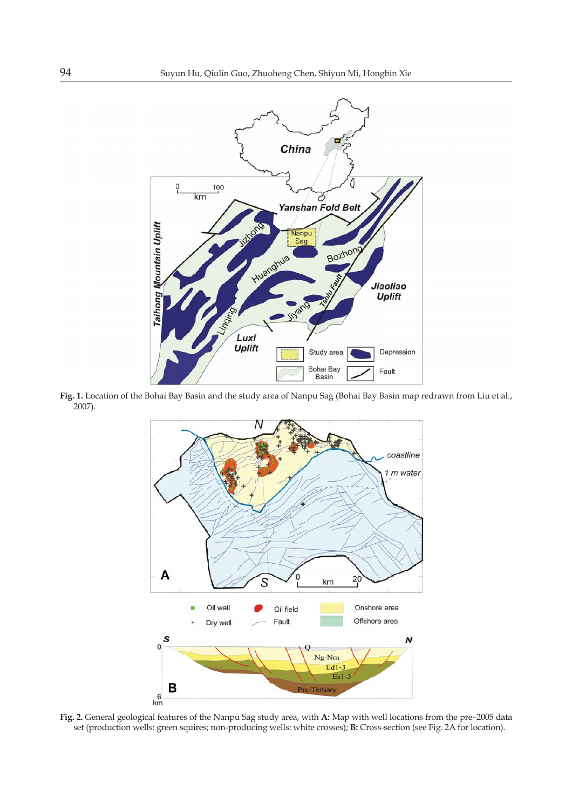

**Fig. 1.** Location of the Bohai Bay Basin and the study area of Nanpu Sag (Bohai Bay Basin map redrawn from Liu et al., 2007).



**Fig. 2.** General geological features of the Nanpu Sag study area, with **A:** Map with well locations from the pre–2005 data set (production wells: green squires; non-producing wells: white crosses); **B:** Cross-section (see Fig. 2A for location).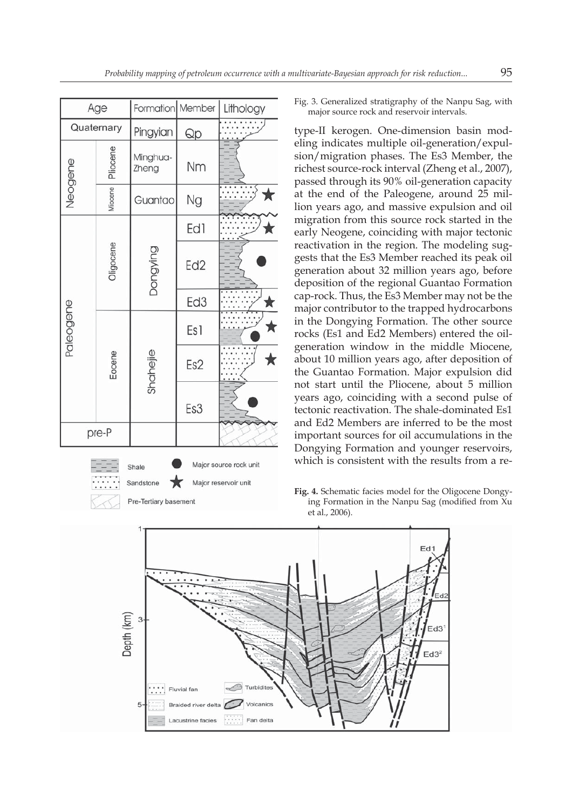| Age                                                                                                |           | Formation Member  |                 | Lithology |  |  |
|----------------------------------------------------------------------------------------------------|-----------|-------------------|-----------------|-----------|--|--|
| Quaternary                                                                                         |           | Pingyian          | Qp              |           |  |  |
| Neogene                                                                                            | Pliocene  | Minghua-<br>Zheng | Nm              |           |  |  |
|                                                                                                    | Miocene   | Guantao           | Ng              | ★         |  |  |
| Paleogene                                                                                          | Oligocene | Dongying          | Ed1             |           |  |  |
|                                                                                                    |           |                   | Ed <sub>2</sub> |           |  |  |
|                                                                                                    |           |                   | Ed <sub>3</sub> | ★         |  |  |
|                                                                                                    | Eocene    | Shahejie          | Es <sub>1</sub> |           |  |  |
|                                                                                                    |           |                   | Es2             |           |  |  |
|                                                                                                    |           |                   | Es3             |           |  |  |
| pre-P                                                                                              |           |                   |                 |           |  |  |
| Major source rock unit<br>Shale<br>★<br>Major reservoir unit<br>Sandstone<br>Pre-Tertiary basement |           |                   |                 |           |  |  |
| $1 -$                                                                                              |           |                   |                 |           |  |  |

Fig. 3. Generalized stratigraphy of the Nanpu Sag, with major source rock and reservoir intervals.

type-II kerogen. One-dimension basin modeling indicates multiple oil-generation/expulsion/migration phases. The Es3 Member, the richest source-rock interval (Zheng et al., 2007), passed through its 90% oil-generation capacity at the end of the Paleogene, around 25 million years ago, and massive expulsion and oil migration from this source rock started in the early Neogene, coinciding with major tectonic reactivation in the region. The modeling suggests that the Es3 Member reached its peak oil generation about 32 million years ago, before deposition of the regional Guantao Formation cap-rock. Thus, the Es3 Member may not be the major contributor to the trapped hydrocarbons in the Dongying Formation. The other source rocks (Es1 and Ed2 Members) entered the oilgeneration window in the middle Miocene, about 10 million years ago, after deposition of the Guantao Formation. Major expulsion did not start until the Pliocene, about 5 million years ago, coinciding with a second pulse of tectonic reactivation. The shale-dominated Es1 and Ed2 Members are inferred to be the most important sources for oil accumulations in the Dongying Formation and younger reservoirs, which is consistent with the results from a re-

**Fig. 4.** Schematic facies model for the Oligocene Dongying Formation in the Nanpu Sag (modified from Xu et al., 2006).

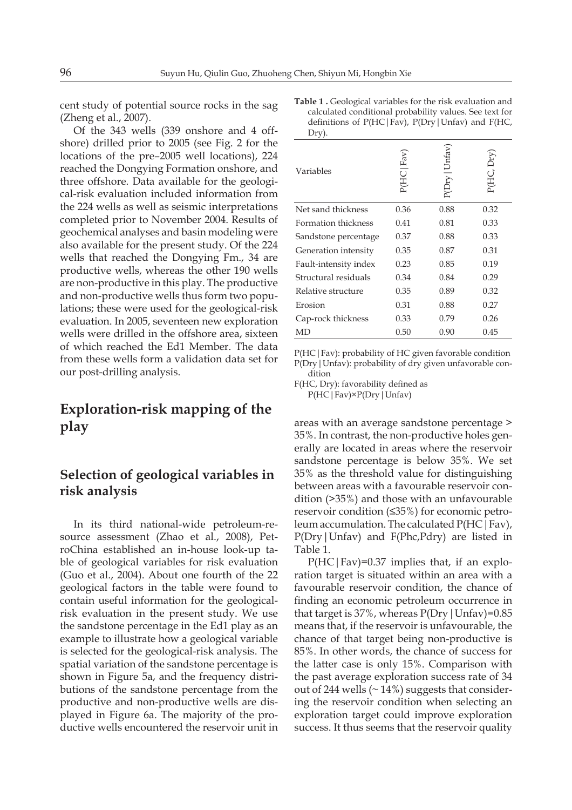cent study of potential source rocks in the sag (Zheng et al., 2007).

Of the 343 wells (339 onshore and 4 offshore) drilled prior to 2005 (see Fig. 2 for the locations of the pre–2005 well locations), 224 reached the Dongying Formation onshore, and three offshore. Data available for the geological-risk evaluation included information from the 224 wells as well as seismic interpretations completed prior to November 2004. Results of geochemical analyses and basin modeling were also available for the present study. Of the 224 wells that reached the Dongying Fm., 34 are productive wells, whereas the other 190 wells are non-productive in this play. The productive and non-productive wells thus form two populations; these were used for the geological-risk evaluation. In 2005, seventeen new exploration wells were drilled in the offshore area, sixteen of which reached the Ed1 Member. The data from these wells form a validation data set for our post-drilling analysis.

# **Exploration-risk mapping of the play**

## **Selection of geological variables in risk analysis**

In its third national-wide petroleum-resource assessment (Zhao et al., 2008), PetroChina established an in-house look-up table of geological variables for risk evaluation (Guo et al., 2004). About one fourth of the 22 geological factors in the table were found to contain useful information for the geologicalrisk evaluation in the present study. We use the sandstone percentage in the Ed1 play as an example to illustrate how a geological variable is selected for the geological-risk analysis. The spatial variation of the sandstone percentage is shown in Figure 5a, and the frequency distributions of the sandstone percentage from the productive and non-productive wells are displayed in Figure 6a. The majority of the productive wells encountered the reservoir unit in **Table 1 .** Geological variables for the risk evaluation and calculated conditional probability values. See text for definitions of  $P(HC|Fav)$ ,  $P(Dry|Unfav)$  and  $F(HC)$ , Dry).

| Variables             | P(HC Fav) | P(Dry   Unfav | P(HC, Dry |
|-----------------------|-----------|---------------|-----------|
| Net sand thickness    | 0.36      | 0.88          | 0.32      |
| Formation thickness   | 0.41      | 0.81          | 0.33      |
| Sandstone percentage  | 0.37      | 0.88          | 0.33      |
| Generation intensity  | 0.35      | 0.87          | 0.31      |
| Fault-intensity index | 0.23      | 0.85          | 0.19      |
| Structural residuals  | 0.34      | 0.84          | 0.29      |
| Relative structure    | 0.35      | 0.89          | 0.32      |
| Erosion               | 0.31      | 0.88          | 0.27      |
| Cap-rock thickness    | 0.33      | 0.79          | 0.26      |
| MD                    | 0.50      | 0.90          | 0.45      |
|                       |           |               |           |

P(HC|Fav): probability of HC given favorable condition P(Dry|Unfav): probability of dry given unfavorable condition

F(HC, Dry): favorability defined as P(HC|Fav)×P(Dry|Unfav)

areas with an average sandstone percentage > 35%. In contrast, the non-productive holes generally are located in areas where the reservoir sandstone percentage is below 35%. We set 35% as the threshold value for distinguishing between areas with a favourable reservoir condition (>35%) and those with an unfavourable reservoir condition (≤35%) for economic petroleum accumulation. The calculated P(HC|Fav), P(Dry|Unfav) and F(Phc,Pdry) are listed in Table 1.

P(HC|Fav)=0.37 implies that, if an exploration target is situated within an area with a favourable reservoir condition, the chance of finding an economic petroleum occurrence in that target is  $37\%$ , whereas  $P(Dry | Unfav)=0.85$ means that, if the reservoir is unfavourable, the chance of that target being non-productive is 85%. In other words, the chance of success for the latter case is only 15%. Comparison with the past average exploration success rate of 34 out of 244 wells  $($   $\sim$  14%) suggests that considering the reservoir condition when selecting an exploration target could improve exploration success. It thus seems that the reservoir quality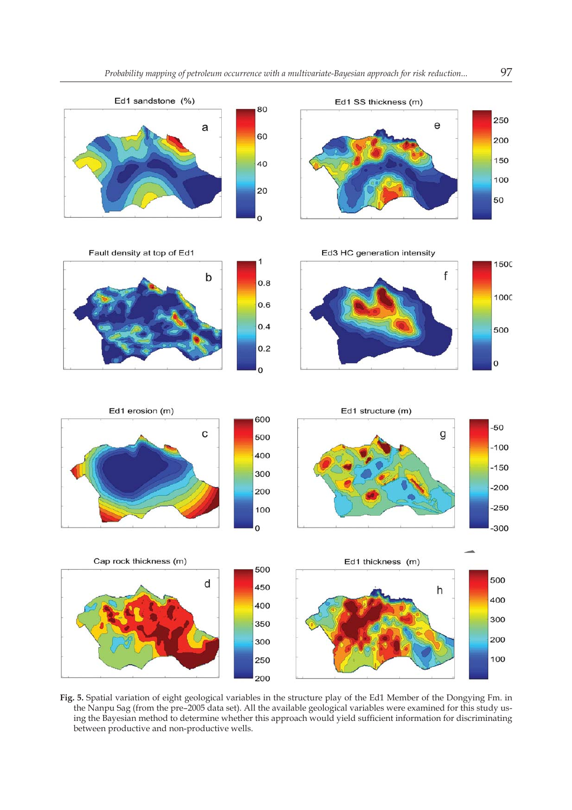

 $\overline{1}$ 

Fault density at top of Ed1

Ed1 erosion (m)





Ed3 HC generation intensity







**Fig. 5.** Spatial variation of eight geological variables in the structure play of the Ed1 Member of the Dongying Fm. in the Nanpu Sag (from the pre–2005 data set). All the available geological variables were examined for this study using the Bayesian method to determine whether this approach would yield sufficient information for discriminating between productive and non-productive wells.

1500

1000

f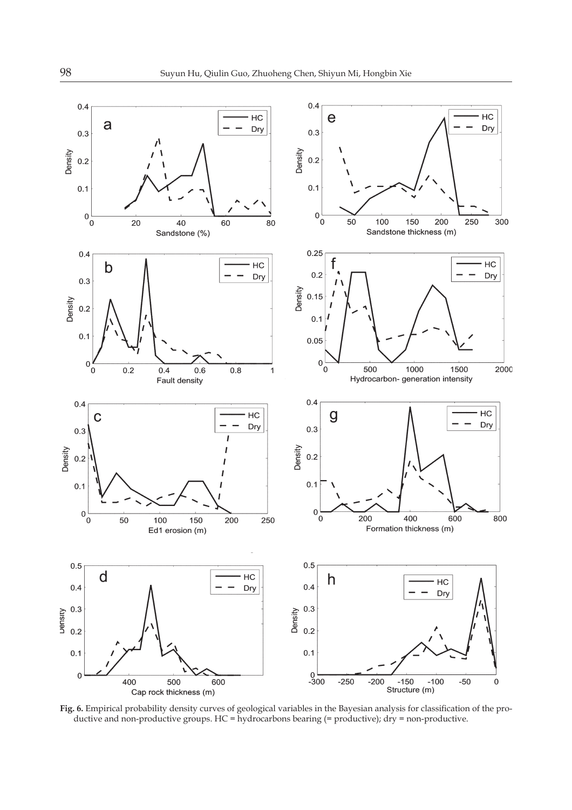

Fig. 6. Empirical probability density curves of geological variables in the Bayesian analysis for classification of the productive and non-productive groups. HC = hydrocarbons bearing (= productive); dry = non-productive.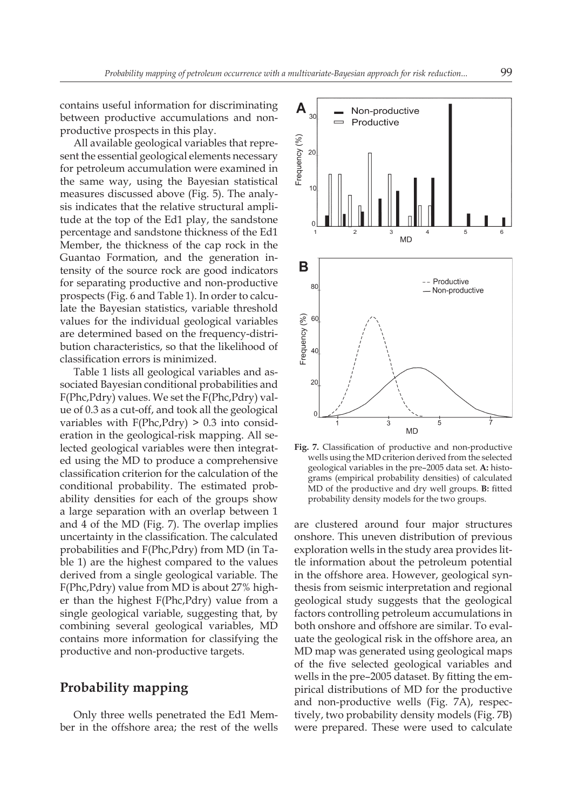contains useful information for discriminating between productive accumulations and nonproductive prospects in this play.

All available geological variables that represent the essential geological elements necessary for petroleum accumulation were examined in the same way, using the Bayesian statistical measures discussed above (Fig. 5). The analysis indicates that the relative structural amplitude at the top of the Ed1 play, the sandstone percentage and sandstone thickness of the Ed1 Member, the thickness of the cap rock in the Guantao Formation, and the generation intensity of the source rock are good indicators for separating productive and non-productive prospects (Fig. 6 and Table 1). In order to calculate the Bayesian statistics, variable threshold values for the individual geological variables are determined based on the frequency-distribution characteristics, so that the likelihood of classification errors is minimized.

Table 1 lists all geological variables and associated Bayesian conditional probabilities and F(Phc,Pdry) values. We set the F(Phc,Pdry) value of 0.3 as a cut-off, and took all the geological variables with  $F(Phc, Pdry) > 0.3$  into consideration in the geological-risk mapping. All selected geological variables were then integrated using the MD to produce a comprehensive classification criterion for the calculation of the conditional probability. The estimated probability densities for each of the groups show a large separation with an overlap between 1 and 4 of the MD (Fig. 7). The overlap implies uncertainty in the classification. The calculated probabilities and F(Phc,Pdry) from MD (in Table 1) are the highest compared to the values derived from a single geological variable. The F(Phc,Pdry) value from MD is about 27% higher than the highest F(Phc,Pdry) value from a single geological variable, suggesting that, by combining several geological variables, MD contains more information for classifying the productive and non-productive targets.

#### **Probability mapping**

Only three wells penetrated the Ed1 Member in the offshore area; the rest of the wells



Fig. 7. Classification of productive and non-productive wells using the MD criterion derived from the selected geological variables in the pre–2005 data set. **A:** histograms (empirical probability densities) of calculated MD of the productive and dry well groups. **B:** fitted probability density models for the two groups.

are clustered around four major structures onshore. This uneven distribution of previous exploration wells in the study area provides little information about the petroleum potential in the offshore area. However, geological synthesis from seismic interpretation and regional geological study suggests that the geological factors controlling petroleum accumulations in both onshore and offshore are similar. To evaluate the geological risk in the offshore area, an MD map was generated using geological maps of the five selected geological variables and wells in the pre–2005 dataset. By fitting the empirical distributions of MD for the productive and non-productive wells (Fig. 7A), respectively, two probability density models (Fig. 7B) were prepared. These were used to calculate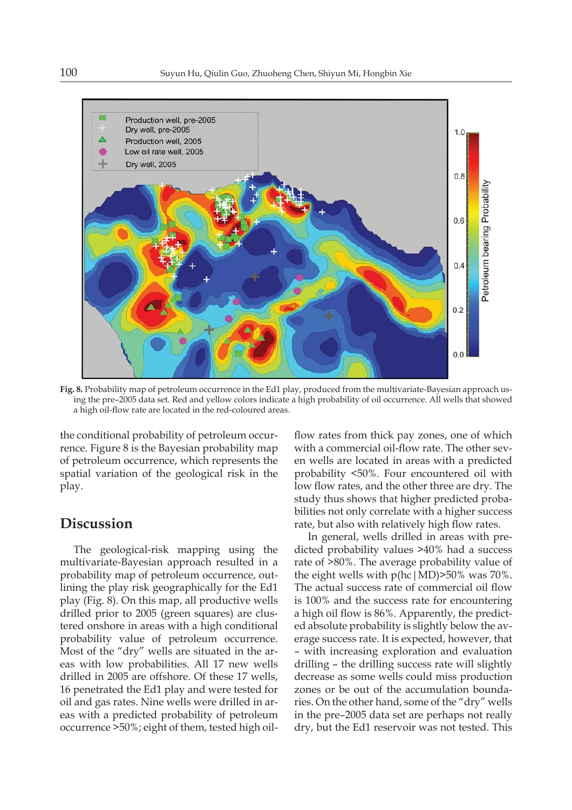

**Fig. 8.** Probability map of petroleum occurrence in the Ed1 play, produced from the multivariate-Bayesian approach using the pre–2005 data set. Red and yellow colors indicate a high probability of oil occurrence. All wells that showed a high oil-flow rate are located in the red-coloured areas.

the conditional probability of petroleum occurrence. Figure 8 is the Bayesian probability map of petroleum occurrence, which represents the spatial variation of the geological risk in the play.

# **Discussion**

The geological-risk mapping using the multivariate-Bayesian approach resulted in a probability map of petroleum occurrence, outlining the play risk geographically for the Ed1 play (Fig. 8). On this map, all productive wells drilled prior to 2005 (green squares) are clustered onshore in areas with a high conditional probability value of petroleum occurrence. Most of the "dry" wells are situated in the areas with low probabilities. All 17 new wells drilled in 2005 are offshore. Of these 17 wells, 16 penetrated the Ed1 play and were tested for oil and gas rates. Nine wells were drilled in areas with a predicted probability of petroleum occurrence >50%; eight of them, tested high oilflow rates from thick pay zones, one of which with a commercial oil-flow rate. The other seven wells are located in areas with a predicted probability <50%. Four encountered oil with low flow rates, and the other three are dry. The study thus shows that higher predicted probabilities not only correlate with a higher success rate, but also with relatively high flow rates.

In general, wells drilled in areas with predicted probability values >40% had a success rate of >80%. The average probability value of the eight wells with  $p(hc|MD)$ >50% was 70%. The actual success rate of commercial oil flow is 100% and the success rate for encountering a high oil flow is 86%. Apparently, the predicted absolute probability is slightly below the average success rate. It is expected, however, that – with increasing exploration and evaluation drilling – the drilling success rate will slightly decrease as some wells could miss production zones or be out of the accumulation boundaries. On the other hand, some of the "dry" wells in the pre–2005 data set are perhaps not really dry, but the Ed1 reservoir was not tested. This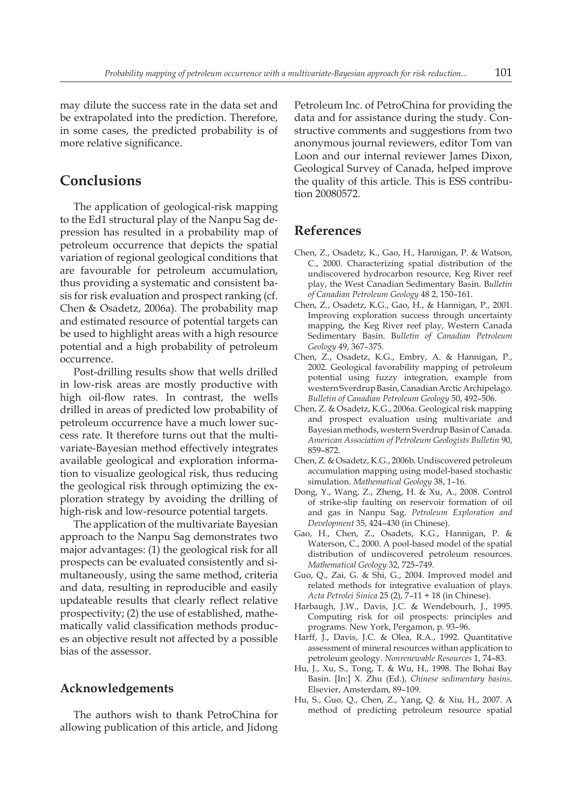may dilute the success rate in the data set and be extrapolated into the prediction. Therefore, in some cases, the predicted probability is of more relative significance.

# **Conclusions**

The application of geological-risk mapping to the Ed1 structural play of the Nanpu Sag depression has resulted in a probability map of petroleum occurrence that depicts the spatial variation of regional geological conditions that are favourable for petroleum accumulation, thus providing a systematic and consistent basis for risk evaluation and prospect ranking (cf. Chen & Osadetz, 2006a). The probability map and estimated resource of potential targets can be used to highlight areas with a high resource potential and a high probability of petroleum occurrence.

Post-drilling results show that wells drilled in low-risk areas are mostly productive with high oil-flow rates. In contrast, the wells drilled in areas of predicted low probability of petroleum occurrence have a much lower success rate. It therefore turns out that the multivariate-Bayesian method effectively integrates available geological and exploration information to visualize geological risk, thus reducing the geological risk through optimizing the exploration strategy by avoiding the drilling of high-risk and low-resource potential targets.

The application of the multivariate Bayesian approach to the Nanpu Sag demonstrates two major advantages: (1) the geological risk for all prospects can be evaluated consistently and simultaneously, using the same method, criteria and data, resulting in reproducible and easily updateable results that clearly reflect relative prospectivity; (2) the use of established, mathematically valid classification methods produces an objective result not affected by a possible bias of the assessor.

#### **Acknowledgements**

The authors wish to thank PetroChina for allowing publication of this article, and Jidong Petroleum Inc. of PetroChina for providing the data and for assistance during the study. Constructive comments and suggestions from two anonymous journal reviewers, editor Tom van Loon and our internal reviewer James Dixon, Geological Survey of Canada, helped improve the quality of this article. This is ESS contribution 20080572.

#### **References**

- Chen, Z., Osadetz, K., Gao, H., Hannigan, P. & Watson, C., 2000. Characterizing spatial distribution of the undiscovered hydrocarbon resource, Keg River reef play, the West Canadian Sedimentary Basin. B*ulletin of Canadian Petroleum Geology* 48 2, 150–161.
- Chen, Z., Osadetz, K.G., Gao, H., & Hannigan, P., 2001. Improving exploration success through uncertainty mapping, the Keg River reef play, Western Canada Sedimentary Basin. B*ulletin of Canadian Petroleum Geology* 49, 367–375.
- Chen, Z., Osadetz, K.G., Embry, A. & Hannigan, P., 2002. Geological favorability mapping of petroleum potential using fuzzy integration, example from western Sverdrup Basin, Canadian Arctic Archipelago. *Bulletin of Canadian Petroleum Geology* 50, 492–506.
- Chen, Z. & Osadetz, K.G., 2006a. Geological risk mapping and prospect evaluation using multivariate and Bayesian methods, western Sverdrup Basin of Canada. *American Association of Petroleum Geologists Bulletin* 90, 859–872.
- Chen, Z. & Osadetz, K.G., 2006b. Undiscovered petroleum accumulation mapping using model-based stochastic simulation. *Mathematical Geology* 38, 1–16.
- Dong, Y., Wang, Z., Zheng, H. & Xu, A., 2008. Control of strike-slip faulting on reservoir formation of oil and gas in Nanpu Sag. *Petroleum Exploration and Development* 35, 424–430 (in Chinese).
- Gao, H., Chen, Z., Osadets, K.G., Hannigan, P. & Waterson, C., 2000. A pool-based model of the spatial distribution of undiscovered petroleum resources. *Mathematical Geology* 32, 725–749.
- Guo, Q., Zai, G. & Shi, G., 2004. Improved model and related methods for integrative evaluation of plays. *Acta Petrolei Sinica* 25 (2), 7–11 + 18 (in Chinese).
- Harbaugh, J.W., Davis, J.C. & Wendebourh, J., 1995. Computing risk for oil prospects: principles and programs. New York, Pergamon, p. 93–96.
- Harff, J., Davis, J.C. & Olea, R.A., 1992. Quantitative assessment of mineral resources withan application to petroleum geology. *Nonrenewable Resources* 1, 74–83.
- Hu, J., Xu, S., Tong, T. & Wu, H., 1998. The Bohai Bay Basin. [In:] X. Zhu (Ed.), *Chinese sedimentary basins*. Elsevier, Amsterdam, 89–109.
- Hu, S., Guo, Q., Chen, Z., Yang, Q. & Xiu, H., 2007. A method of predicting petroleum resource spatial